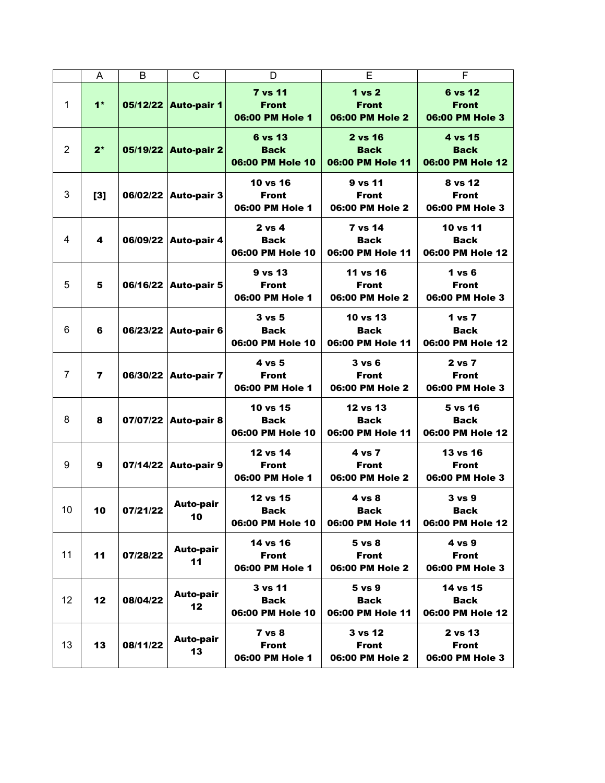|                | A              | B        | C                      | D                                                    | Е                                                    | F                                             |
|----------------|----------------|----------|------------------------|------------------------------------------------------|------------------------------------------------------|-----------------------------------------------|
| 1              | $1*$           |          | 05/12/22 Auto-pair 1   | <b>7 vs 11</b><br><b>Front</b><br>06:00 PM Hole 1    | <b>1 vs 2</b><br><b>Front</b><br>06:00 PM Hole 2     | 6 vs 12<br><b>Front</b><br>06:00 PM Hole 3    |
| $\overline{2}$ | $2^*$          |          | 05/19/22 Auto-pair 2   | 6 vs 13<br><b>Back</b><br>06:00 PM Hole 10           | 2 vs 16<br><b>Back</b><br>06:00 PM Hole 11           | 4 vs 15<br><b>Back</b><br>06:00 PM Hole 12    |
| 3              | [3]            |          | 06/02/22 Auto-pair 3   | 10 vs 16<br><b>Front</b><br>06:00 PM Hole 1          | 9 vs 11<br><b>Front</b><br>06:00 PM Hole 2           | 8 vs 12<br><b>Front</b><br>06:00 PM Hole 3    |
| 4              | 4              |          | 06/09/22 Auto-pair 4   | $2$ vs 4<br><b>Back</b><br>06:00 PM Hole 10          | 7 vs 14<br><b>Back</b><br>06:00 PM Hole 11           | 10 vs 11<br><b>Back</b><br>06:00 PM Hole 12   |
| 5              | 5              |          | 06/16/22 Auto-pair 5   | 9 vs 13<br><b>Front</b><br>06:00 PM Hole 1           | 11 vs 16<br><b>Front</b><br>06:00 PM Hole 2          | $1$ vs $6$<br><b>Front</b><br>06:00 PM Hole 3 |
| 6              | 6              |          | 06/23/22 Auto-pair 6   | $3 \text{ vs } 5$<br><b>Back</b><br>06:00 PM Hole 10 | 10 vs 13<br><b>Back</b><br>06:00 PM Hole 11          | 1 vs 7<br><b>Back</b><br>06:00 PM Hole 12     |
| $\overline{7}$ | $\overline{7}$ | 06/30/22 | <b>Auto-pair 7</b>     | 4 vs 5<br><b>Front</b><br>06:00 PM Hole 1            | $3 \text{ vs } 6$<br><b>Front</b><br>06:00 PM Hole 2 | 2 vs 7<br><b>Front</b><br>06:00 PM Hole 3     |
| 8              | 8              |          | 07/07/22 Auto-pair 8   | 10 vs 15<br><b>Back</b><br>06:00 PM Hole 10          | 12 vs 13<br><b>Back</b><br>06:00 PM Hole 11          | 5 vs 16<br><b>Back</b><br>06:00 PM Hole 12    |
| 9              | 9              |          | 07/14/22 Auto-pair 9   | 12 vs 14<br><b>Front</b><br>06:00 PM Hole 1          | 4 vs 7<br><b>Front</b><br>06:00 PM Hole 2            | 13 vs 16<br><b>Front</b><br>06:00 PM Hole 3   |
| 10             | 10             | 07/21/22 | <b>Auto-pair</b><br>10 | 12 vs 15<br>Back<br>06:00 PM Hole 10                 | 4 vs 8<br><b>Back</b><br>06:00 PM Hole 11            | 3 vs 9<br>Back<br>06:00 PM Hole 12            |
| 11             | 11             | 07/28/22 | <b>Auto-pair</b><br>11 | 14 vs 16<br><b>Front</b><br>06:00 PM Hole 1          | $5 \text{ vs } 8$<br><b>Front</b><br>06:00 PM Hole 2 | 4 vs 9<br><b>Front</b><br>06:00 PM Hole 3     |
| 12             | 12             | 08/04/22 | <b>Auto-pair</b><br>12 | 3 vs 11<br><b>Back</b><br>06:00 PM Hole 10           | 5 vs 9<br><b>Back</b><br>06:00 PM Hole 11            | 14 vs 15<br><b>Back</b><br>06:00 PM Hole 12   |
| 13             | 13             | 08/11/22 | <b>Auto-pair</b><br>13 | $7$ vs $8$<br><b>Front</b><br>06:00 PM Hole 1        | 3 vs 12<br><b>Front</b><br>06:00 PM Hole 2           | 2 vs 13<br><b>Front</b><br>06:00 PM Hole 3    |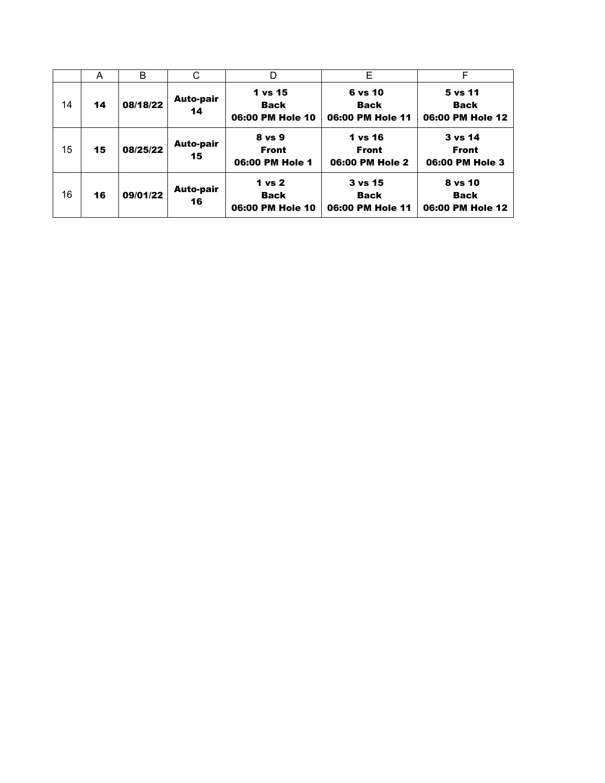|    | A  | B        | С                      | D                                                    | E                                                     | F                                          |
|----|----|----------|------------------------|------------------------------------------------------|-------------------------------------------------------|--------------------------------------------|
| 14 | 14 | 08/18/22 | <b>Auto-pair</b><br>14 | 1 vs 15<br><b>Back</b><br>06:00 PM Hole 10           | 6 vs 10<br><b>Back</b><br>06:00 PM Hole 11            | 5 vs 11<br><b>Back</b><br>06:00 PM Hole 12 |
| 15 | 15 | 08/25/22 | Auto-pair<br>15        | 8 vs 9<br><b>Front</b><br>06:00 PM Hole 1            | 1 vs 16<br><b>Front</b><br>06:00 PM Hole 2            | 3 vs 14<br><b>Front</b><br>06:00 PM Hole 3 |
| 16 | 16 | 09/01/22 | Auto-pair<br>16        | 1 <sub>vs</sub> 2<br><b>Back</b><br>06:00 PM Hole 10 | $3 \text{ vs } 15$<br><b>Back</b><br>06:00 PM Hole 11 | 8 vs 10<br><b>Back</b><br>06:00 PM Hole 12 |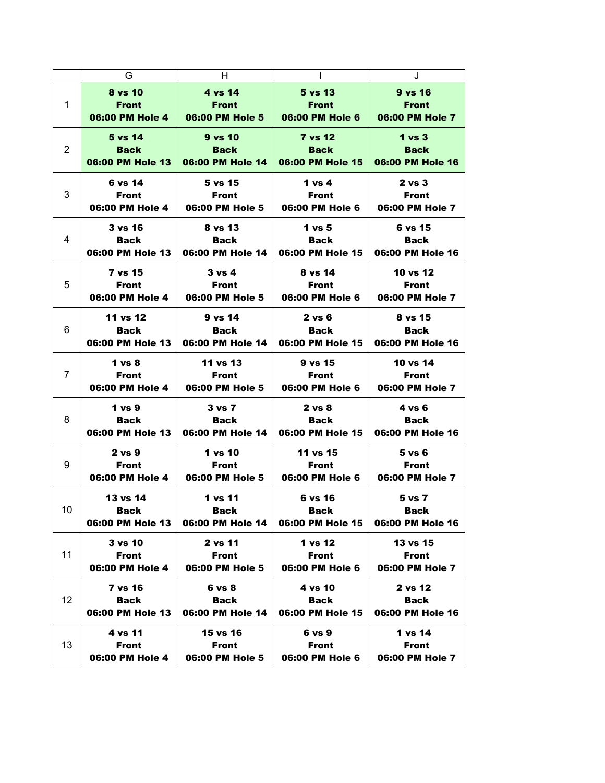|                | G                 | H                 |                   | J                 |
|----------------|-------------------|-------------------|-------------------|-------------------|
| $\mathbf{1}$   | 8 vs 10           | 4 vs 14           | 5 vs 13           | 9 vs 16           |
|                | <b>Front</b>      | <b>Front</b>      | <b>Front</b>      | <b>Front</b>      |
|                | 06:00 PM Hole 4   | 06:00 PM Hole 5   | 06:00 PM Hole 6   | 06:00 PM Hole 7   |
| 2              | 5 vs 14           | $9$ vs $10$       | <b>7 vs 12</b>    | $1 \text{ vs } 3$ |
|                | <b>Back</b>       | <b>Back</b>       | <b>Back</b>       | <b>Back</b>       |
|                | 06:00 PM Hole 13  | 06:00 PM Hole 14  | 06:00 PM Hole 15  | 06:00 PM Hole 16  |
| 3              | 6 vs 14           | 5 vs 15           | 1 vs $4$          | $2$ vs $3$        |
|                | Front             | <b>Front</b>      | Front             | <b>Front</b>      |
|                | 06:00 PM Hole 4   | 06:00 PM Hole 5   | 06:00 PM Hole 6   | 06:00 PM Hole 7   |
| 4              | <b>3 vs 16</b>    | 8 vs 13           | 1 vs 5            | 6 vs 15           |
|                | Back              | <b>Back</b>       | <b>Back</b>       | <b>Back</b>       |
|                | 06:00 PM Hole 13  | 06:00 PM Hole 14  | 06:00 PM Hole 15  | 06:00 PM Hole 16  |
| 5              | 7 vs 15           | $3 \text{ vs } 4$ | 8 vs 14           | 10 vs 12          |
|                | Front             | <b>Front</b>      | <b>Front</b>      | <b>Front</b>      |
|                | 06:00 PM Hole 4   | 06:00 PM Hole 5   | 06:00 PM Hole 6   | 06:00 PM Hole 7   |
| 6              | 11 vs 12          | $9$ vs $14$       | $2 \text{ vs } 6$ | 8 vs 15           |
|                | <b>Back</b>       | <b>Back</b>       | Back              | Back              |
|                | 06:00 PM Hole 13  | 06:00 PM Hole 14  | 06:00 PM Hole 15  | 06:00 PM Hole 16  |
| $\overline{7}$ | 1 vs 8            | 11 vs 13          | 9 vs 15           | 10 vs 14          |
|                | Front             | Front             | Front             | <b>Front</b>      |
|                | 06:00 PM Hole 4   | 06:00 PM Hole 5   | 06:00 PM Hole 6   | 06:00 PM Hole 7   |
| 8              | 1 vs 9            | $3 \text{ vs } 7$ | $2 \text{ vs } 8$ | 4 vs 6            |
|                | Back              | Back              | Back              | Back              |
|                | 06:00 PM Hole 13  | 06:00 PM Hole 14  | 06:00 PM Hole 15  | 06:00 PM Hole 16  |
| 9              | $2 \text{ vs } 9$ | 1 vs 10           | 11 vs 15          | $5 \text{ vs } 6$ |
|                | Front             | <b>Front</b>      | <b>Front</b>      | <b>Front</b>      |
|                | 06:00 PM Hole 4   | 06:00 PM Hole 5   | 06:00 PM Hole 6   | 06:00 PM Hole 7   |
| 10             | 13 vs 14          | 1 vs 11           | 6 vs 16           | 5 vs 7            |
|                | Back              | <b>Back</b>       | Back              | <b>Rack</b>       |
|                | 06:00 PM Hole 13  | 06:00 PM Hole 14  | 06:00 PM Hole 15  | 06:00 PM Hole 16  |
| 11             | 3 v s 10          | 2 vs 11           | 1 vs 12           | 13 vs 15          |
|                | <b>Front</b>      | <b>Front</b>      | <b>Front</b>      | <b>Front</b>      |
|                | 06:00 PM Hole 4   | 06:00 PM Hole 5   | 06:00 PM Hole 6   | 06:00 PM Hole 7   |
| 12             | <b>7 vs 16</b>    | 6 vs 8            | 4 vs 10           | 2 vs 12           |
|                | <b>Back</b>       | <b>Back</b>       | <b>Back</b>       | <b>Back</b>       |
|                | 06:00 PM Hole 13  | 06:00 PM Hole 14  | 06:00 PM Hole 15  | 06:00 PM Hole 16  |
| 13             | 4 vs 11           | 15 vs 16          | $6 \text{ vs } 9$ | 1 vs 14           |
|                | <b>Front</b>      | <b>Front</b>      | <b>Front</b>      | <b>Front</b>      |
|                | 06:00 PM Hole 4   | 06:00 PM Hole 5   | 06:00 PM Hole 6   | 06:00 PM Hole 7   |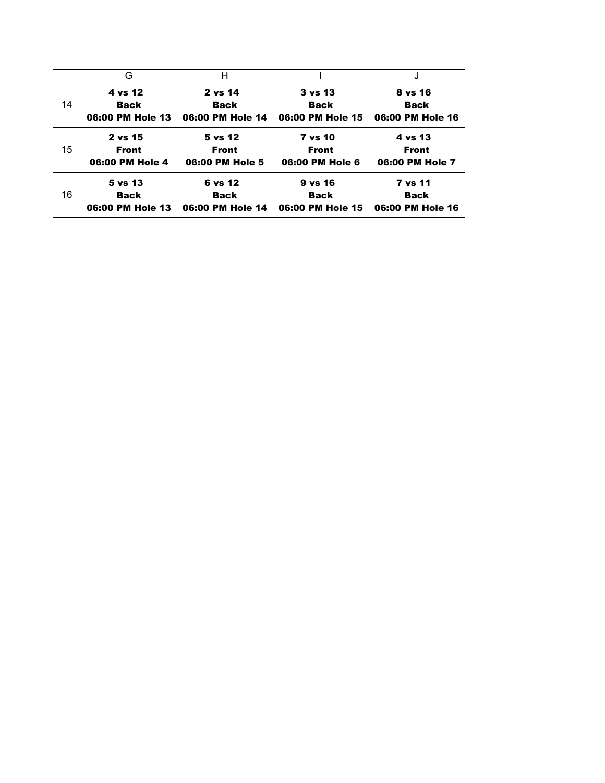|    | G                | н                |                  |                  |
|----|------------------|------------------|------------------|------------------|
| 14 | 4 vs 12          | 2 vs 14          | 3 vs 13          | 8 vs 16          |
|    | <b>Back</b>      | <b>Back</b>      | <b>Back</b>      | <b>Back</b>      |
|    | 06:00 PM Hole 13 | 06:00 PM Hole 14 | 06:00 PM Hole 15 | 06:00 PM Hole 16 |
| 15 | 2 vs 15          | 5 vs 12          | <b>7 vs 10</b>   | 4 vs 13          |
|    | <b>Front</b>     | <b>Front</b>     | <b>Front</b>     | <b>Front</b>     |
|    | 06:00 PM Hole 4  | 06:00 PM Hole 5  | 06:00 PM Hole 6  | 06:00 PM Hole 7  |
| 16 | $5$ vs $13$      | 6 vs 12          | 9 vs 16          | <b>7 vs 11</b>   |
|    | <b>Back</b>      | <b>Back</b>      | <b>Back</b>      | <b>Back</b>      |
|    | 06:00 PM Hole 13 | 06:00 PM Hole 14 | 06:00 PM Hole 15 | 06:00 PM Hole 16 |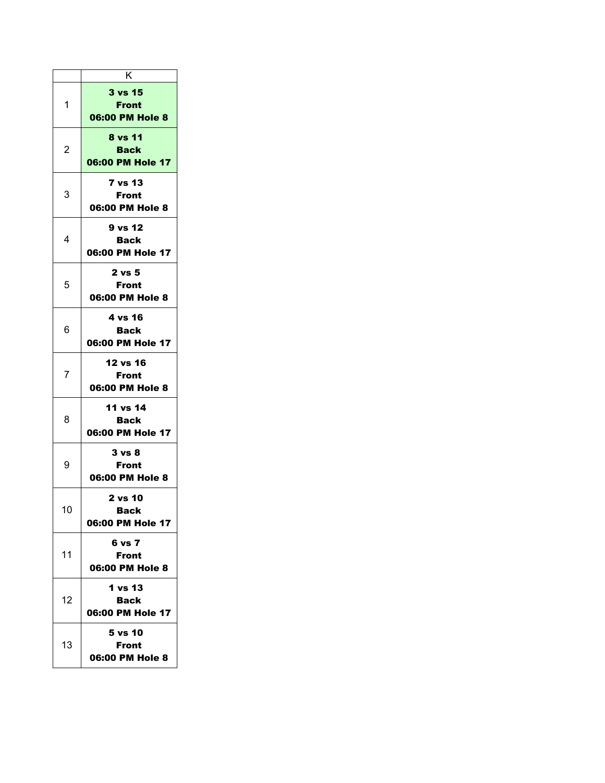|                | κ                                           |
|----------------|---------------------------------------------|
| 1              | <b>3 vs 15</b><br>Front<br>06:00 PM Hole 8  |
| $\overline{c}$ | 8 vs 11<br><b>Back</b><br>06:00 PM Hole 17  |
| 3              | <b>7 vs 13</b><br>Front<br>06:00 PM Hole 8  |
| 4              | 9 vs 12<br><b>Back</b><br>06:00 PM Hole 17  |
| 5              | 2 vs 5<br>Front<br>06:00 PM Hole 8          |
| 6              | 4 vs 16<br>Back<br>06:00 PM Hole 17         |
| 7              | 12 vs 16<br><b>Front</b><br>06:00 PM Hole 8 |
| 8              | 11 vs 14<br>Back<br>06:00 PM Hole 17        |
| 9              | 3 vs 8<br><b>Front</b><br>06:00 PM Hole 8   |
| 10             | 2 vs 10<br>Back<br>06:00 PM Hole 17         |
| 11             | 6 vs 7<br>Front<br>06:00 PM Hole 8          |
| 12             | 1 vs 13<br>Back<br>06:00 PM Hole 17         |
| 13             | 5 vs 10<br>Front<br>06:00 PM Hole 8         |